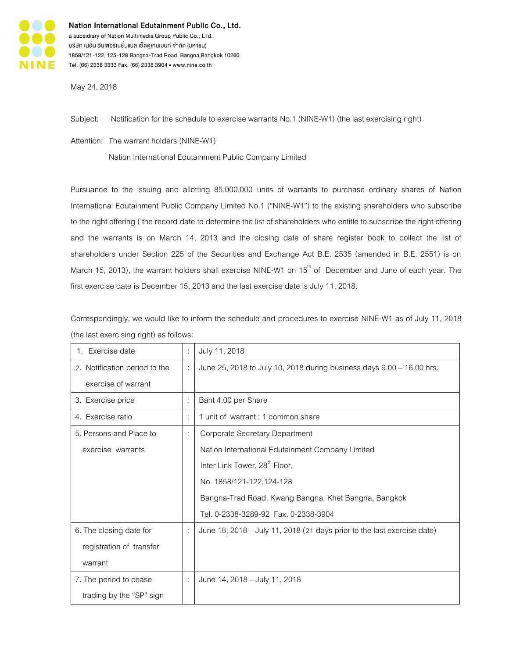

Nation International Edutainment Public Co., Ltd. a subsidiary of Nation Multimedia Group Public Co., LTd. บริษัท เนชั่น อินเตอร์เนชั่นแนล เอ็ดดูเทนเมนท์ จำกัด (มหาชน) 1858/121-122, 125-128 Bangna-Trad Road, Bangna, Bangkok 10260 Tel. (66) 2338 3333 Fax. (66) 2338 3904 · www.nine.co.th

May24, 2018

Subject: Notification for the schedule to exercise warrants No.1(NINE-W1) (the last exercising right)

Attention: The warrant holders (NINE-W1)

Nation International Edutainment Public Company Limited

Pursuance to the issuing and allotting 85,000,000 units of warrants to purchase ordinary shares of Nation International Edutainment Public Company Limited No.1 ("NINE-W1") to the existing shareholders who subscribe to the right offering ( the record date to determine the list of shareholders who entitle to subscribe the right offering and the warrants is on March 14, 2013 and the closing date of share register book to collect the list of shareholders under Section 225 of the Securities and Exchange Act B.E. 2535 (amended in B.E. 2551) is on March 15, 2013), the warrant holders shall exercise NINE-W1 on  $15<sup>th</sup>$  of December and June of each year. The first exercise date is December 15, 2013 and the last exercise date is July 11, 2018.

Correspondingly, we would like to inform the schedule and procedures to exercise NINE-W1 as of July 11, 2018 (the last exercising right) as follows:

| 1. Exercise date              | ÷              | July 11, 2018                                                           |
|-------------------------------|----------------|-------------------------------------------------------------------------|
| 2. Notification period to the |                | June 25, 2018 to July 10, 2018 during business days 9.00 - 16.00 hrs.   |
| exercise of warrant           |                |                                                                         |
| 3. Exercise price             | $\ddot{\cdot}$ | Baht 4.00 per Share                                                     |
| 4. Exercise ratio             | $\ddot{\cdot}$ | 1 unit of warrant : 1 common share                                      |
| 5. Persons and Place to       | ÷              | Corporate Secretary Department                                          |
| exercise warrants             |                | Nation International Edutainment Company Limited                        |
|                               |                | Inter Link Tower, 28 <sup>th</sup> Floor,                               |
|                               |                | No. 1858/121-122,124-128                                                |
|                               |                | Bangna-Trad Road, Kwang Bangna, Khet Bangna, Bangkok                    |
|                               |                | Tel. 0-2338-3289-92  Fax. 0-2338-3904                                   |
| 6. The closing date for       |                | June 18, 2018 – July 11, 2018 (21 days prior to the last exercise date) |
| registration of transfer      |                |                                                                         |
| warrant                       |                |                                                                         |
| 7. The period to cease        | ÷              | June 14, 2018 - July 11, 2018                                           |
| trading by the "SP" sign      |                |                                                                         |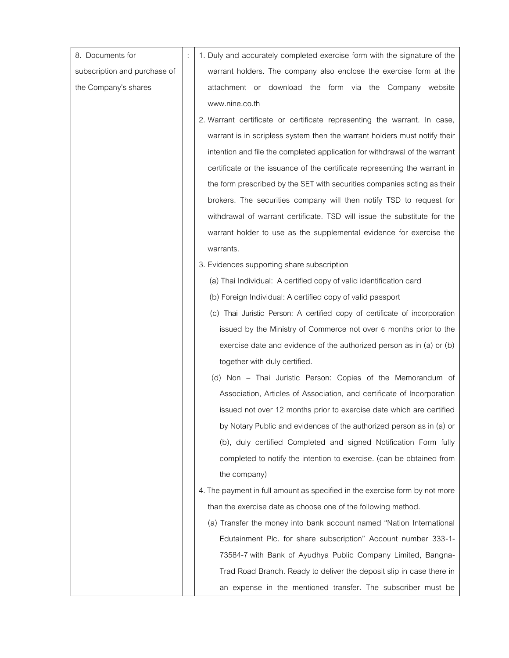| 8. Documents for             | 1. Duly and accurately completed exercise form with the signature of the    |
|------------------------------|-----------------------------------------------------------------------------|
| subscription and purchase of | warrant holders. The company also enclose the exercise form at the          |
| the Company's shares         | attachment or download the form via the Company website                     |
|                              | www.nine.co.th                                                              |
|                              | 2. Warrant certificate or certificate representing the warrant. In case,    |
|                              | warrant is in scripless system then the warrant holders must notify their   |
|                              | intention and file the completed application for withdrawal of the warrant  |
|                              | certificate or the issuance of the certificate representing the warrant in  |
|                              | the form prescribed by the SET with securities companies acting as their    |
|                              | brokers. The securities company will then notify TSD to request for         |
|                              | withdrawal of warrant certificate. TSD will issue the substitute for the    |
|                              | warrant holder to use as the supplemental evidence for exercise the         |
|                              | warrants.                                                                   |
|                              | 3. Evidences supporting share subscription                                  |
|                              | (a) Thai Individual: A certified copy of valid identification card          |
|                              | (b) Foreign Individual: A certified copy of valid passport                  |
|                              | (c) Thai Juristic Person: A certified copy of certificate of incorporation  |
|                              | issued by the Ministry of Commerce not over 6 months prior to the           |
|                              | exercise date and evidence of the authorized person as in (a) or (b)        |
|                              | together with duly certified.                                               |
|                              | (d) Non - Thai Juristic Person: Copies of the Memorandum of                 |
|                              | Association, Articles of Association, and certificate of Incorporation      |
|                              | issued not over 12 months prior to exercise date which are certified        |
|                              | by Notary Public and evidences of the authorized person as in (a) or        |
|                              | (b), duly certified Completed and signed Notification Form fully            |
|                              | completed to notify the intention to exercise. (can be obtained from        |
|                              | the company)                                                                |
|                              | 4. The payment in full amount as specified in the exercise form by not more |
|                              | than the exercise date as choose one of the following method.               |
|                              | (a) Transfer the money into bank account named "Nation International        |
|                              | Edutainment Plc. for share subscription" Account number 333-1-              |
|                              | 73584-7 with Bank of Ayudhya Public Company Limited, Bangna-                |
|                              | Trad Road Branch. Ready to deliver the deposit slip in case there in        |
|                              | an expense in the mentioned transfer. The subscriber must be                |